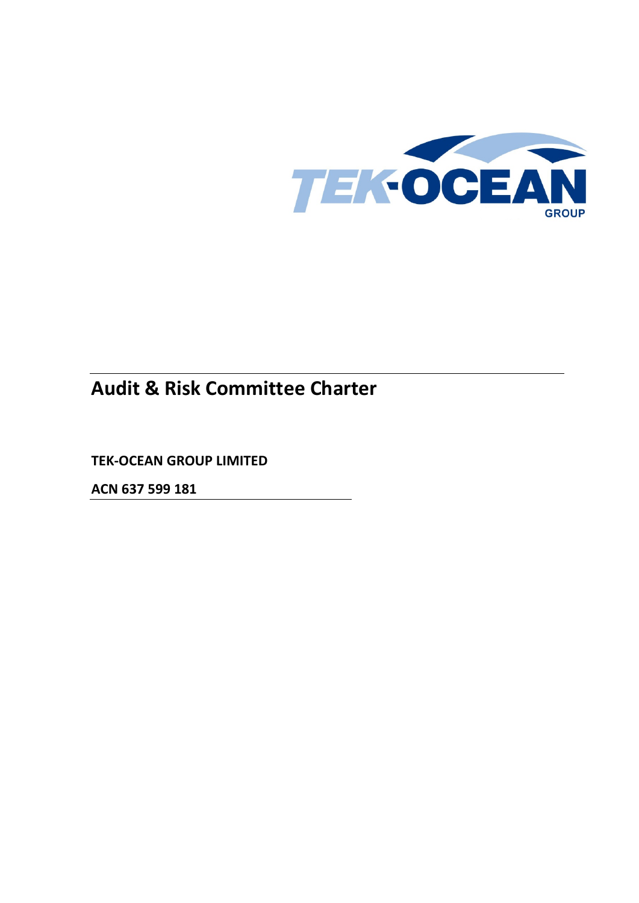

# **Audit & Risk Committee Charter**

**TEK-OCEAN GROUP LIMITED**

**ACN 637 599 181**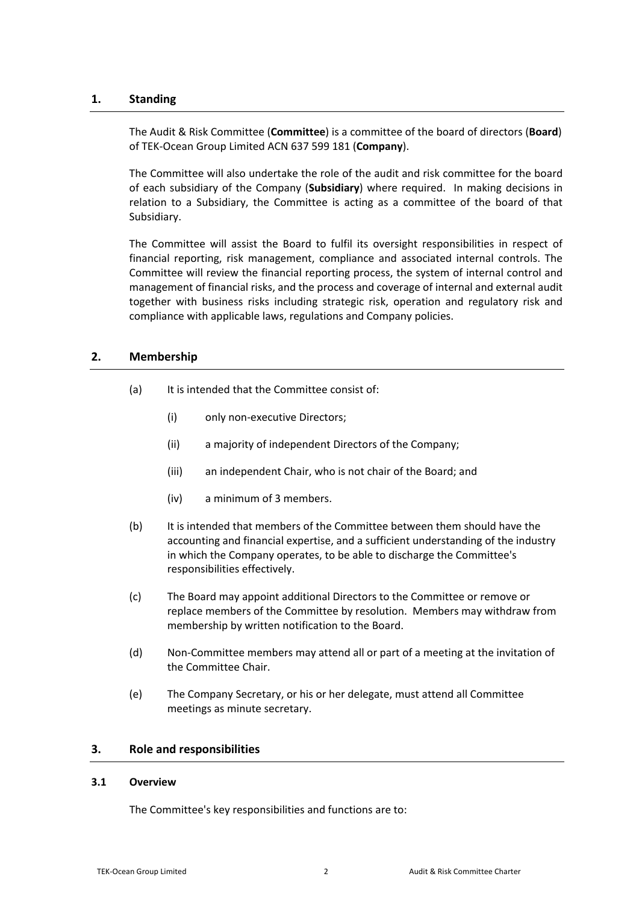## **1. Standing**

The Audit & Risk Committee (**Committee**) is a committee of the board of directors (**Board**) of TEK-Ocean Group Limited ACN 637 599 181 (**Company**).

The Committee will also undertake the role of the audit and risk committee for the board of each subsidiary of the Company (**Subsidiary**) where required. In making decisions in relation to a Subsidiary, the Committee is acting as a committee of the board of that Subsidiary.

The Committee will assist the Board to fulfil its oversight responsibilities in respect of financial reporting, risk management, compliance and associated internal controls. The Committee will review the financial reporting process, the system of internal control and management of financial risks, and the process and coverage of internal and external audit together with business risks including strategic risk, operation and regulatory risk and compliance with applicable laws, regulations and Company policies.

# **2. Membership**

- (a) It is intended that the Committee consist of:
	- (i) only non-executive Directors;
	- (ii) a majority of independent Directors of the Company;
	- (iii) an independent Chair, who is not chair of the Board; and
	- (iv) a minimum of 3 members.
- (b) It is intended that members of the Committee between them should have the accounting and financial expertise, and a sufficient understanding of the industry in which the Company operates, to be able to discharge the Committee's responsibilities effectively.
- (c) The Board may appoint additional Directors to the Committee or remove or replace members of the Committee by resolution. Members may withdraw from membership by written notification to the Board.
- (d) Non-Committee members may attend all or part of a meeting at the invitation of the Committee Chair.
- (e) The Company Secretary, or his or her delegate, must attend all Committee meetings as minute secretary.

### **3. Role and responsibilities**

### **3.1 Overview**

The Committee's key responsibilities and functions are to: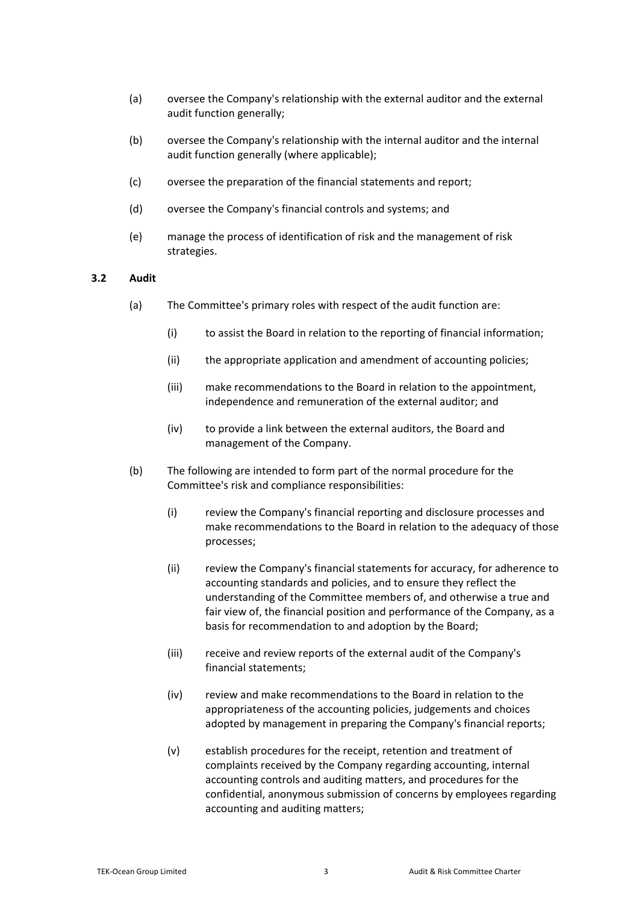- (a) oversee the Company's relationship with the external auditor and the external audit function generally;
- (b) oversee the Company's relationship with the internal auditor and the internal audit function generally (where applicable);
- (c) oversee the preparation of the financial statements and report;
- (d) oversee the Company's financial controls and systems; and
- (e) manage the process of identification of risk and the management of risk strategies.

### **3.2 Audit**

- (a) The Committee's primary roles with respect of the audit function are:
	- (i) to assist the Board in relation to the reporting of financial information;
	- (ii) the appropriate application and amendment of accounting policies;
	- (iii) make recommendations to the Board in relation to the appointment, independence and remuneration of the external auditor; and
	- (iv) to provide a link between the external auditors, the Board and management of the Company.
- (b) The following are intended to form part of the normal procedure for the Committee's risk and compliance responsibilities:
	- (i) review the Company's financial reporting and disclosure processes and make recommendations to the Board in relation to the adequacy of those processes;
	- (ii) review the Company's financial statements for accuracy, for adherence to accounting standards and policies, and to ensure they reflect the understanding of the Committee members of, and otherwise a true and fair view of, the financial position and performance of the Company, as a basis for recommendation to and adoption by the Board;
	- (iii) receive and review reports of the external audit of the Company's financial statements;
	- (iv) review and make recommendations to the Board in relation to the appropriateness of the accounting policies, judgements and choices adopted by management in preparing the Company's financial reports;
	- (v) establish procedures for the receipt, retention and treatment of complaints received by the Company regarding accounting, internal accounting controls and auditing matters, and procedures for the confidential, anonymous submission of concerns by employees regarding accounting and auditing matters;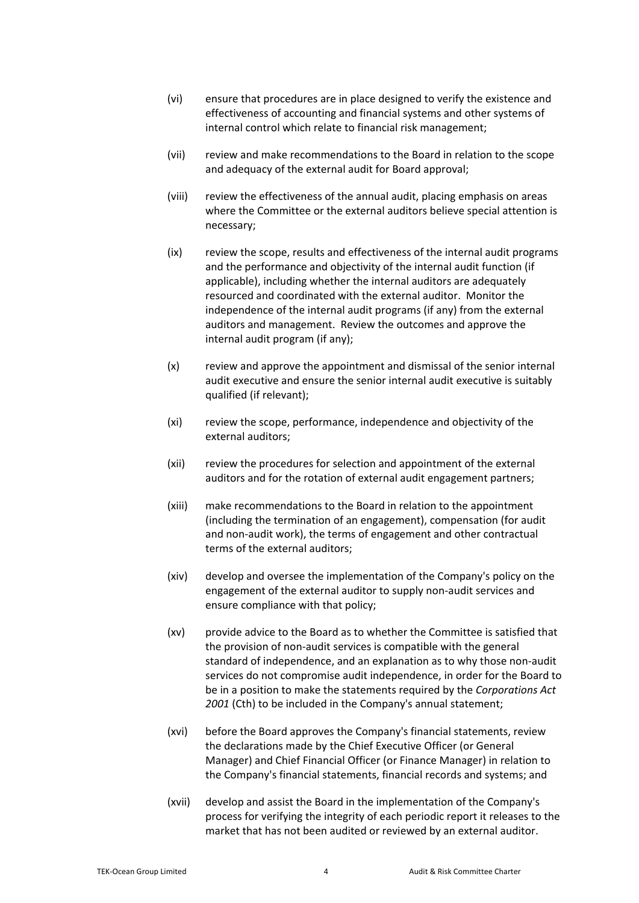- (vi) ensure that procedures are in place designed to verify the existence and effectiveness of accounting and financial systems and other systems of internal control which relate to financial risk management;
- (vii) review and make recommendations to the Board in relation to the scope and adequacy of the external audit for Board approval;
- (viii) review the effectiveness of the annual audit, placing emphasis on areas where the Committee or the external auditors believe special attention is necessary;
- (ix) review the scope, results and effectiveness of the internal audit programs and the performance and objectivity of the internal audit function (if applicable), including whether the internal auditors are adequately resourced and coordinated with the external auditor. Monitor the independence of the internal audit programs (if any) from the external auditors and management. Review the outcomes and approve the internal audit program (if any);
- (x) review and approve the appointment and dismissal of the senior internal audit executive and ensure the senior internal audit executive is suitably qualified (if relevant);
- (xi) review the scope, performance, independence and objectivity of the external auditors;
- (xii) review the procedures for selection and appointment of the external auditors and for the rotation of external audit engagement partners;
- (xiii) make recommendations to the Board in relation to the appointment (including the termination of an engagement), compensation (for audit and non-audit work), the terms of engagement and other contractual terms of the external auditors;
- (xiv) develop and oversee the implementation of the Company's policy on the engagement of the external auditor to supply non-audit services and ensure compliance with that policy;
- (xv) provide advice to the Board as to whether the Committee is satisfied that the provision of non-audit services is compatible with the general standard of independence, and an explanation as to why those non-audit services do not compromise audit independence, in order for the Board to be in a position to make the statements required by the *Corporations Act 2001* (Cth) to be included in the Company's annual statement;
- (xvi) before the Board approves the Company's financial statements, review the declarations made by the Chief Executive Officer (or General Manager) and Chief Financial Officer (or Finance Manager) in relation to the Company's financial statements, financial records and systems; and
- <span id="page-3-0"></span>(xvii) develop and assist the Board in the implementation of the Company's process for verifying the integrity of each periodic report it releases to the market that has not been audited or reviewed by an external auditor.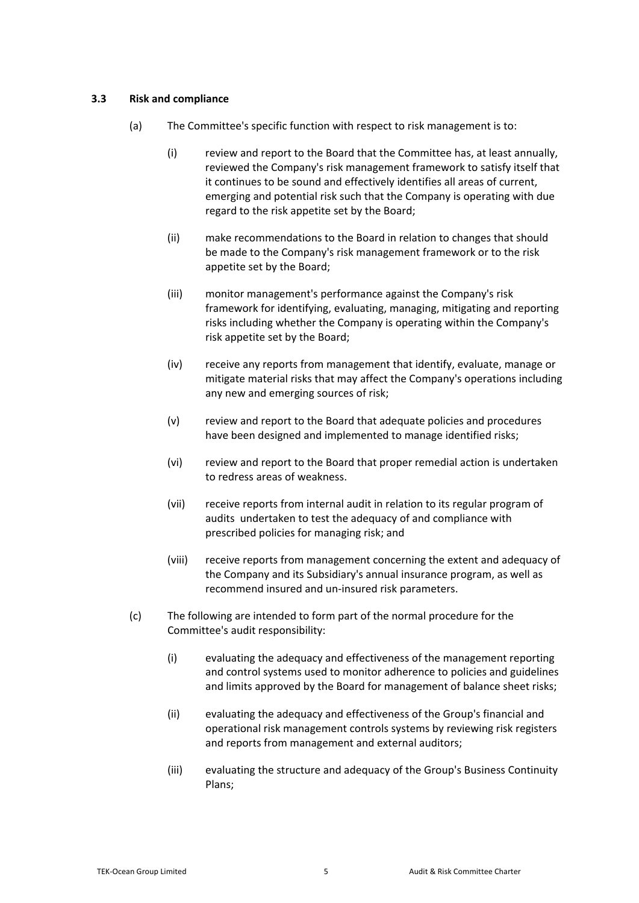### <span id="page-4-0"></span>**3.3 Risk and compliance**

- (a) The Committee's specific function with respect to risk management is to:
	- (i) review and report to the Board that the Committee has, at least annually, reviewed the Company's risk management framework to satisfy itself that it continues to be sound and effectively identifies all areas of current, emerging and potential risk such that the Company is operating with due regard to the risk appetite set by the Board;
	- (ii) make recommendations to the Board in relation to changes that should be made to the Company's risk management framework or to the risk appetite set by the Board;
	- (iii) monitor management's performance against the Company's risk framework for identifying, evaluating, managing, mitigating and reporting risks including whether the Company is operating within the Company's risk appetite set by the Board;
	- (iv) receive any reports from management that identify, evaluate, manage or mitigate material risks that may affect the Company's operations including any new and emerging sources of risk;
	- (v) review and report to the Board that adequate policies and procedures have been designed and implemented to manage identified risks;
	- (vi) review and report to the Board that proper remedial action is undertaken to redress areas of weakness.
	- (vii) receive reports from internal audit in relation to its regular program of audits undertaken to test the adequacy of and compliance with prescribed policies for managing risk; and
	- (viii) receive reports from management concerning the extent and adequacy of the Company and its Subsidiary's annual insurance program, as well as recommend insured and un-insured risk parameters.
- (c) The following are intended to form part of the normal procedure for the Committee's audit responsibility:
	- (i) evaluating the adequacy and effectiveness of the management reporting and control systems used to monitor adherence to policies and guidelines and limits approved by the Board for management of balance sheet risks;
	- (ii) evaluating the adequacy and effectiveness of the Group's financial and operational risk management controls systems by reviewing risk registers and reports from management and external auditors;
	- (iii) evaluating the structure and adequacy of the Group's Business Continuity Plans;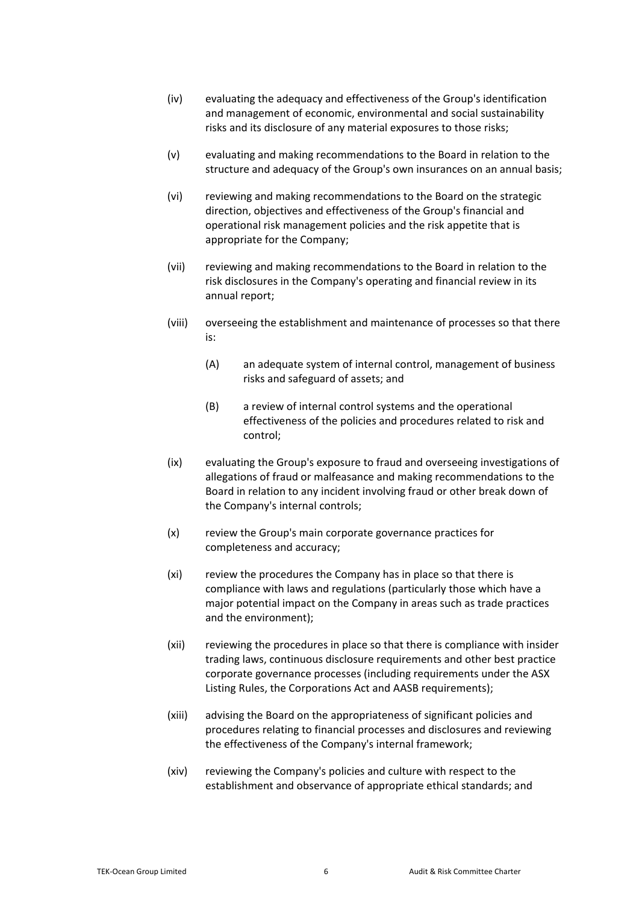- (iv) evaluating the adequacy and effectiveness of the Group's identification and management of economic, environmental and social sustainability risks and its disclosure of any material exposures to those risks;
- (v) evaluating and making recommendations to the Board in relation to the structure and adequacy of the Group's own insurances on an annual basis;
- (vi) reviewing and making recommendations to the Board on the strategic direction, objectives and effectiveness of the Group's financial and operational risk management policies and the risk appetite that is appropriate for the Company;
- (vii) reviewing and making recommendations to the Board in relation to the risk disclosures in the Company's operating and financial review in its annual report;
- (viii) overseeing the establishment and maintenance of processes so that there is:
	- (A) an adequate system of internal control, management of business risks and safeguard of assets; and
	- (B) a review of internal control systems and the operational effectiveness of the policies and procedures related to risk and control;
- (ix) evaluating the Group's exposure to fraud and overseeing investigations of allegations of fraud or malfeasance and making recommendations to the Board in relation to any incident involving fraud or other break down of the Company's internal controls;
- (x) review the Group's main corporate governance practices for completeness and accuracy;
- (xi) review the procedures the Company has in place so that there is compliance with laws and regulations (particularly those which have a major potential impact on the Company in areas such as trade practices and the environment);
- (xii) reviewing the procedures in place so that there is compliance with insider trading laws, continuous disclosure requirements and other best practice corporate governance processes (including requirements under the ASX Listing Rules, the Corporations Act and AASB requirements);
- (xiii) advising the Board on the appropriateness of significant policies and procedures relating to financial processes and disclosures and reviewing the effectiveness of the Company's internal framework;
- (xiv) reviewing the Company's policies and culture with respect to the establishment and observance of appropriate ethical standards; and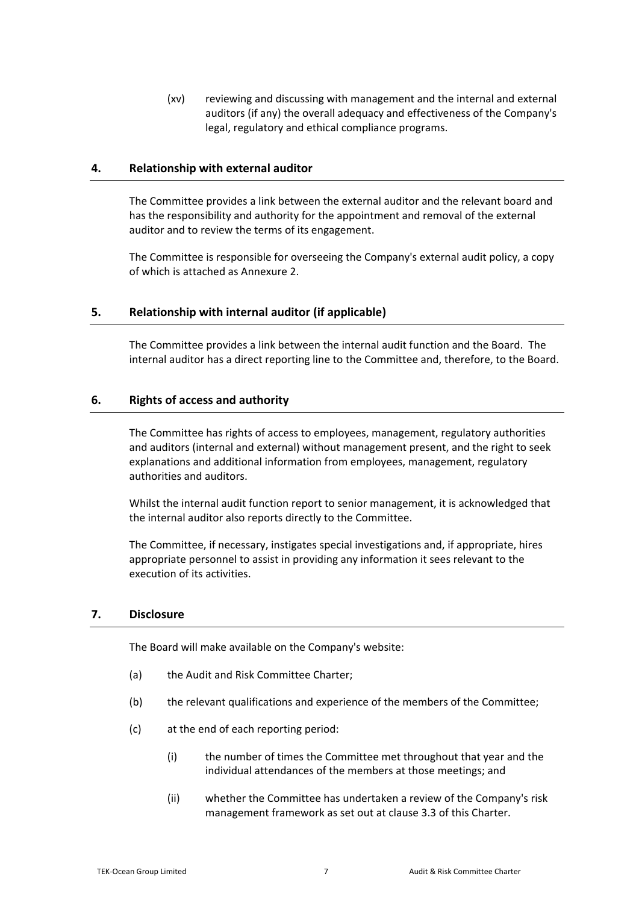(xv) reviewing and discussing with management and the internal and external auditors (if any) the overall adequacy and effectiveness of the Company's legal, regulatory and ethical compliance programs.

### **4. Relationship with external auditor**

The Committee provides a link between the external auditor and the relevant board and has the responsibility and authority for the appointment and removal of the external auditor and to review the terms of its engagement.

The Committee is responsible for overseeing the Company's external audit policy, a copy of which is attached as Annexure [2.](#page-10-0)

### **5. Relationship with internal auditor (if applicable)**

The Committee provides a link between the internal audit function and the Board. The internal auditor has a direct reporting line to the Committee and, therefore, to the Board.

### **6. Rights of access and authority**

The Committee has rights of access to employees, management, regulatory authorities and auditors (internal and external) without management present, and the right to seek explanations and additional information from employees, management, regulatory authorities and auditors.

Whilst the internal audit function report to senior management, it is acknowledged that the internal auditor also reports directly to the Committee.

The Committee, if necessary, instigates special investigations and, if appropriate, hires appropriate personnel to assist in providing any information it sees relevant to the execution of its activities.

### **7. Disclosure**

The Board will make available on the Company's website:

- (a) the Audit and Risk Committee Charter;
- (b) the relevant qualifications and experience of the members of the Committee;
- (c) at the end of each reporting period:
	- (i) the number of times the Committee met throughout that year and the individual attendances of the members at those meetings; and
	- (ii) whether the Committee has undertaken a review of the Company's risk management framework as set out at claus[e 3.3](#page-4-0) of this Charter.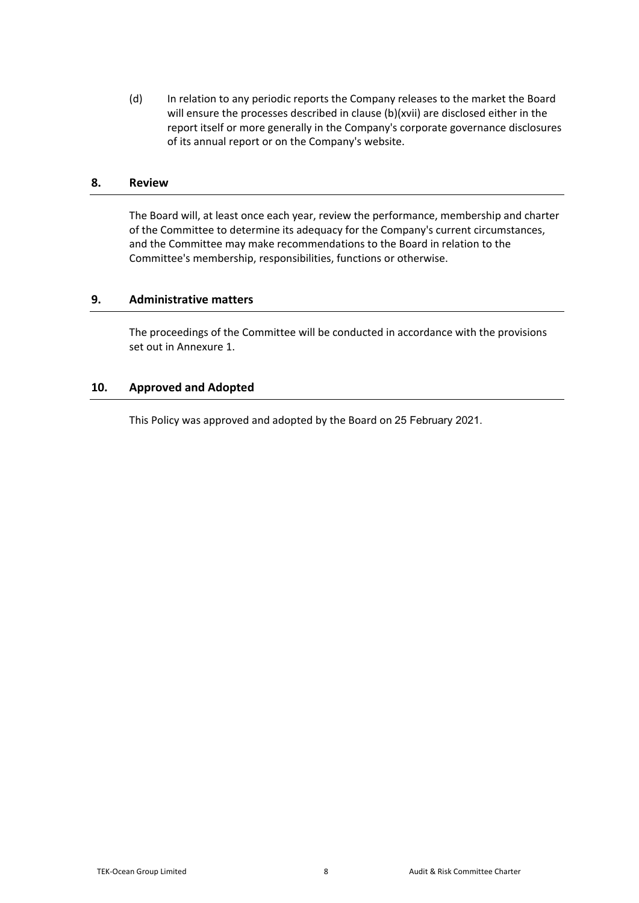(d) In relation to any periodic reports the Company releases to the market the Board will ensure the processes described in clause [\(b\)\(xvii\)](#page-3-0) are disclosed either in the report itself or more generally in the Company's corporate governance disclosures of its annual report or on the Company's website.

## **8. Review**

The Board will, at least once each year, review the performance, membership and charter of the Committee to determine its adequacy for the Company's current circumstances, and the Committee may make recommendations to the Board in relation to the Committee's membership, responsibilities, functions or otherwise.

# **9. Administrative matters**

The proceedings of the Committee will be conducted in accordance with the provisions set out in Annexur[e 1.](#page-8-0)

### **10. Approved and Adopted**

This Policy was approved and adopted by the Board on 25 February 2021.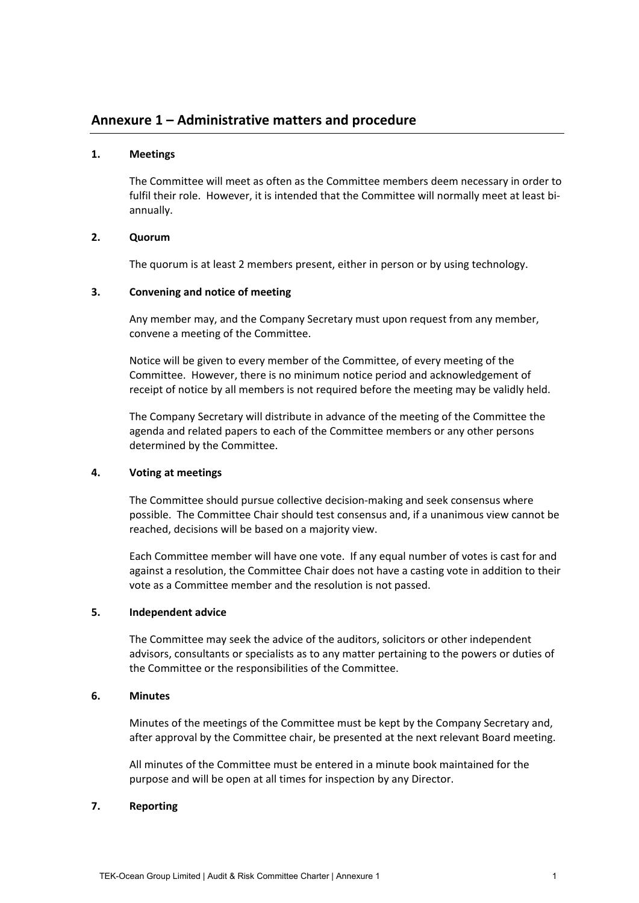# <span id="page-8-0"></span>**Annexure 1 – Administrative matters and procedure**

### **1. Meetings**

The Committee will meet as often as the Committee members deem necessary in order to fulfil their role. However, it is intended that the Committee will normally meet at least biannually.

### **2. Quorum**

The quorum is at least 2 members present, either in person or by using technology.

### **3. Convening and notice of meeting**

Any member may, and the Company Secretary must upon request from any member, convene a meeting of the Committee.

Notice will be given to every member of the Committee, of every meeting of the Committee. However, there is no minimum notice period and acknowledgement of receipt of notice by all members is not required before the meeting may be validly held.

The Company Secretary will distribute in advance of the meeting of the Committee the agenda and related papers to each of the Committee members or any other persons determined by the Committee.

### **4. Voting at meetings**

The Committee should pursue collective decision-making and seek consensus where possible. The Committee Chair should test consensus and, if a unanimous view cannot be reached, decisions will be based on a majority view.

Each Committee member will have one vote. If any equal number of votes is cast for and against a resolution, the Committee Chair does not have a casting vote in addition to their vote as a Committee member and the resolution is not passed.

### **5. Independent advice**

The Committee may seek the advice of the auditors, solicitors or other independent advisors, consultants or specialists as to any matter pertaining to the powers or duties of the Committee or the responsibilities of the Committee.

### **6. Minutes**

Minutes of the meetings of the Committee must be kept by the Company Secretary and, after approval by the Committee chair, be presented at the next relevant Board meeting.

All minutes of the Committee must be entered in a minute book maintained for the purpose and will be open at all times for inspection by any Director.

### **7. Reporting**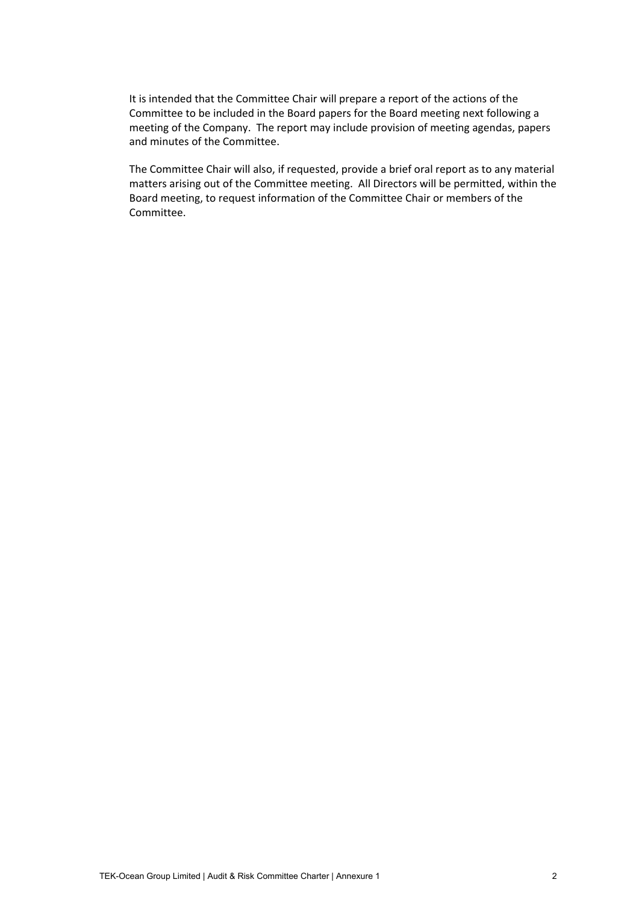It is intended that the Committee Chair will prepare a report of the actions of the Committee to be included in the Board papers for the Board meeting next following a meeting of the Company. The report may include provision of meeting agendas, papers and minutes of the Committee.

The Committee Chair will also, if requested, provide a brief oral report as to any material matters arising out of the Committee meeting. All Directors will be permitted, within the Board meeting, to request information of the Committee Chair or members of the Committee.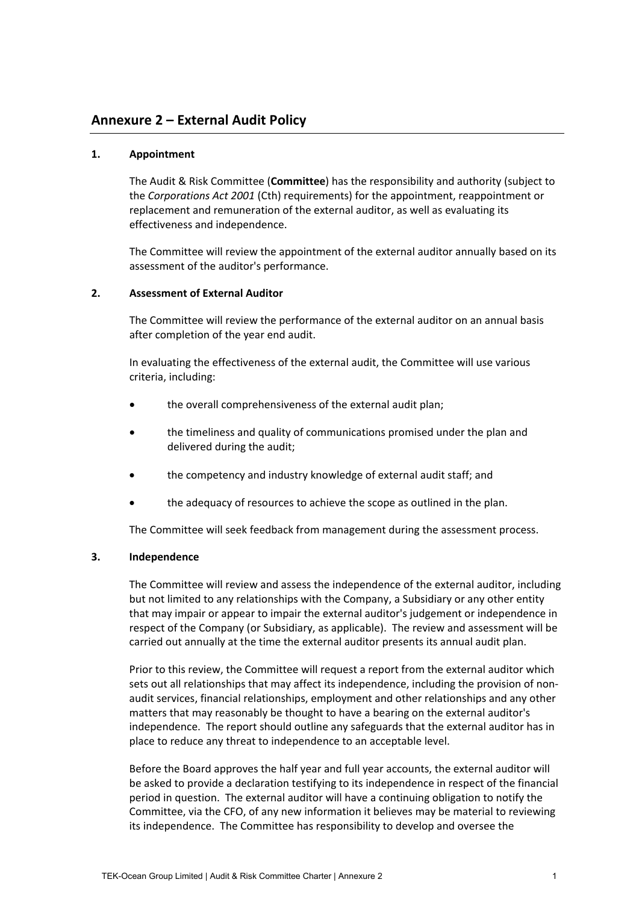# <span id="page-10-0"></span>**Annexure 2 – External Audit Policy**

### **1. Appointment**

The Audit & Risk Committee (**Committee**) has the responsibility and authority (subject to the *Corporations Act 2001* (Cth) requirements) for the appointment, reappointment or replacement and remuneration of the external auditor, as well as evaluating its effectiveness and independence.

The Committee will review the appointment of the external auditor annually based on its assessment of the auditor's performance.

### **2. Assessment of External Auditor**

The Committee will review the performance of the external auditor on an annual basis after completion of the year end audit.

In evaluating the effectiveness of the external audit, the Committee will use various criteria, including:

- the overall comprehensiveness of the external audit plan;
- the timeliness and quality of communications promised under the plan and delivered during the audit;
- the competency and industry knowledge of external audit staff; and
- the adequacy of resources to achieve the scope as outlined in the plan.

The Committee will seek feedback from management during the assessment process.

### **3. Independence**

The Committee will review and assess the independence of the external auditor, including but not limited to any relationships with the Company, a Subsidiary or any other entity that may impair or appear to impair the external auditor's judgement or independence in respect of the Company (or Subsidiary, as applicable). The review and assessment will be carried out annually at the time the external auditor presents its annual audit plan.

Prior to this review, the Committee will request a report from the external auditor which sets out all relationships that may affect its independence, including the provision of nonaudit services, financial relationships, employment and other relationships and any other matters that may reasonably be thought to have a bearing on the external auditor's independence. The report should outline any safeguards that the external auditor has in place to reduce any threat to independence to an acceptable level.

Before the Board approves the half year and full year accounts, the external auditor will be asked to provide a declaration testifying to its independence in respect of the financial period in question. The external auditor will have a continuing obligation to notify the Committee, via the CFO, of any new information it believes may be material to reviewing its independence. The Committee has responsibility to develop and oversee the